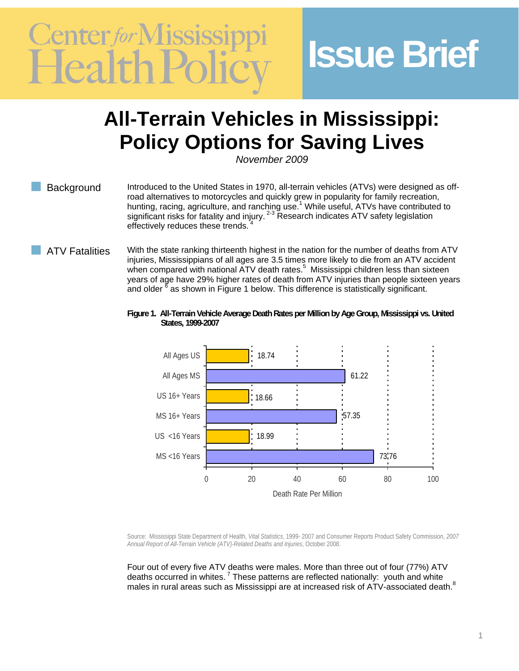# Center for Mississ

## **Issue Brief**

### **All-Terrain Vehicles in Mississippi: Policy Options for Saving Lives**

*November 2009* 

Background Introduced to the United States in 1970, all-terrain vehicles (ATVs) were designed as offroad alternatives to motorcycles and quickly grew in popularity for family recreation, hunting, racing, agriculture, and ranching use.<sup>1</sup> While useful, ATVs have contributed to significant risks for fatality and injury.  $2-3$  Research indicates ATV safety legislation effectively reduces these trends.

- ATV Fatalities With the state ranking thirteenth highest in the nation for the number of deaths from ATV injuries, Mississippians of all ages are 3.5 times more likely to die from an ATV accident when compared with national ATV death rates.<sup>5</sup> Mississippi children less than sixteen years of age have 29% higher rates of death from ATV injuries than people sixteen years and older  $^8$  as shown in Figure 1 below. This difference is statistically significant.
	- **Figure 1. All-Terrain Vehicle Average Death Rates per Million by Age Group, Mississippi vs. United States, 1999-2007**



Source: Mississippi State Department of Health, *Vital Statistics*, 1999- 2007 and Consumer Reports Product Safety Commission, *2007 Annual Report of All-Terrain Vehicle (ATV)-Related Deaths and Injuries*, October 2008.

Four out of every five ATV deaths were males. More than three out of four (77%) ATV deaths occurred in whites.<sup>7</sup> These patterns are reflected nationally: youth and white males in rural areas such as Mississippi are at increased risk of ATV-associated death. $^8$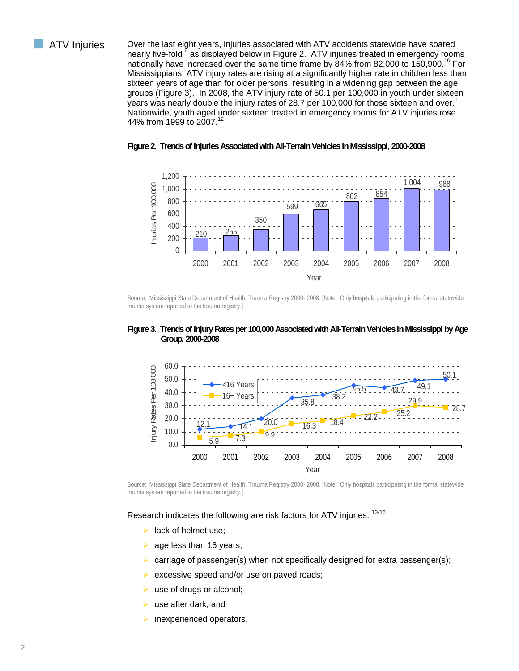ATV Injuries Over the last eight years, injuries associated with ATV accidents statewide have soared nearly five-fold <sup>§</sup> as displayed below in Figure 2. ATV injuries treated in emergency rooms nationally have increased over the same time frame by 84% from 82,000 to 150,900.<sup>10</sup> For Mississippians, ATV injury rates are rising at a significantly higher rate in children less than sixteen years of age than for older persons, resulting in a widening gap between the age groups (Figure 3). In 2008, the ATV injury rate of 50.1 per 100,000 in youth under sixteen years was nearly double the injury rates of 28.7 per 100,000 for those sixteen and over.<sup>11</sup> Nationwide, youth aged under sixteen treated in emergency rooms for ATV injuries rose 44% from 1999 to 2007.<sup>1</sup>





 Source: Mississippi State Department of Health, Trauma Registry 2000- 2008. [Note: Only hospitals participating in the formal statewide trauma system reported to the trauma registry.]





Source: Mississippi State Department of Health, Trauma Registry 2000- 2008. [Note: Only hospitals participating in the formal statewide trauma system reported to the trauma registry.]

Research indicates the following are risk factors for ATV injuries: <sup>13-16</sup>

- lack of helmet use;
- age less than 16 years;
- carriage of passenger(s) when not specifically designed for extra passenger(s);
- excessive speed and/or use on paved roads;
- use of drugs or alcohol;
- use after dark; and
- inexperienced operators.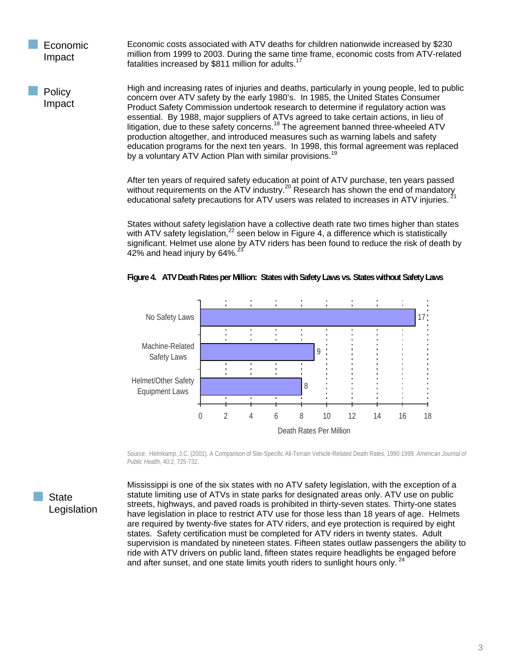**Economic** Impact Economic costs associated with ATV deaths for children nationwide increased by \$230 million from 1999 to 2003. During the same time frame, economic costs from ATV-related fatalities increased by \$811 million for adults.<sup>1</sup>

High and increasing rates of injuries and deaths, particularly in young people, led to public concern over ATV safety by the early 1980's. In 1985, the United States Consumer Product Safety Commission undertook research to determine if regulatory action was essential. By 1988, major suppliers of ATVs agreed to take certain actions, in lieu of litigation, due to these safety concerns.<sup>18</sup> The agreement banned three-wheeled ATV production altogether, and introduced measures such as warning labels and safety education programs for the next ten years. In 1998, this formal agreement was replaced by a voluntary ATV Action Plan with similar provisions.<sup>19</sup> Policy Impact

> After ten years of required safety education at point of ATV purchase, ten years passed After territorial or requirements on the ATV industry.<sup>20</sup> Research has shown the end of mandatory without requirements on the ATV industry.<sup>20</sup> Research has shown the end of mandatory educational safety precautions for ATV users was related to increases in ATV injuries. 21

States without safety legislation have a collective death rate two times higher than states with ATV safety legislation, $^{22}$  seen below in Figure 4, a difference which is statistically significant. Helmet use alone by ATV riders has been found to reduce the risk of death by 42% and head injury by  $64\%$ .



**Figure 4. ATV Death Rates per Million: States with Safety Laws vs. States without Safety Laws** 

Source: Helmkamp, J.C. (2001). A Comparison of Site-Specific All-Terrain Vehicle-Related Death Rates, 1990-1999. *American Journal of Public Health*, 40:2, 725-732.

**State** Legislation

Mississippi is one of the six states with no ATV safety legislation, with the exception of a statute limiting use of ATVs in state parks for designated areas only. ATV use on public streets, highways, and paved roads is prohibited in thirty-seven states. Thirty-one states have legislation in place to restrict ATV use for those less than 18 years of age. Helmets are required by twenty-five states for ATV riders, and eye protection is required by eight states. Safety certification must be completed for ATV riders in twenty states. Adult supervision is mandated by nineteen states. Fifteen states outlaw passengers the ability to ride with ATV drivers on public land, fifteen states require headlights be engaged before and after sunset, and one state limits youth riders to sunlight hours only.<sup>24</sup>